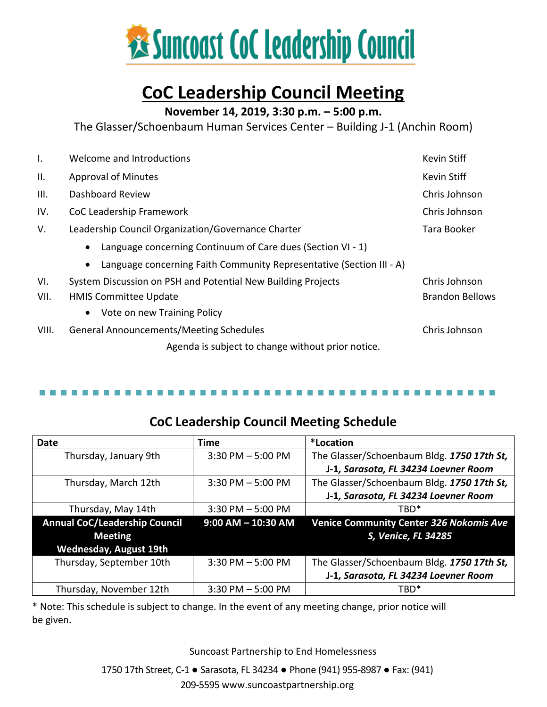

### **CoC Leadership Council Meeting**

**November 14, 2019, 3:30 p.m. – 5:00 p.m.**

The Glasser/Schoenbaum Human Services Center – Building J-1 (Anchin Room)

| I.    | Welcome and Introductions                                                         | Kevin Stiff   |
|-------|-----------------------------------------------------------------------------------|---------------|
| Ш.    | <b>Approval of Minutes</b>                                                        | Kevin Stiff   |
| III.  | Dashboard Review<br>Chris Johnson                                                 |               |
| IV.   | CoC Leadership Framework<br>Chris Johnson                                         |               |
| V.    | Leadership Council Organization/Governance Charter                                | Tara Booker   |
|       | Language concerning Continuum of Care dues (Section VI - 1)<br>$\bullet$          |               |
|       | Language concerning Faith Community Representative (Section III - A)<br>$\bullet$ |               |
| VI.   | System Discussion on PSH and Potential New Building Projects                      | Chris Johnson |
| VII.  | <b>Brandon Bellows</b><br><b>HMIS Committee Update</b>                            |               |
|       | Vote on new Training Policy<br>$\bullet$                                          |               |
| VIII. | <b>General Announcements/Meeting Schedules</b>                                    | Chris Johnson |
|       | Agenda is subject to change without prior notice.                                 |               |

### **CoC Leadership Council Meeting Schedule**

| <b>Date</b>                          | <b>Time</b>            | *Location                                      |
|--------------------------------------|------------------------|------------------------------------------------|
| Thursday, January 9th                | $3:30$ PM $-5:00$ PM   | The Glasser/Schoenbaum Bldg. 1750 17th St,     |
|                                      |                        | J-1, Sarasota, FL 34234 Loevner Room           |
| Thursday, March 12th                 | $3:30$ PM $-5:00$ PM   | The Glasser/Schoenbaum Bldg. 1750 17th St,     |
|                                      |                        | J-1, Sarasota, FL 34234 Loevner Room           |
| Thursday, May 14th                   | $3:30$ PM $-5:00$ PM   | TRD <sup>*</sup>                               |
| <b>Annual CoC/Leadership Council</b> | $9:00$ AM $-$ 10:30 AM | <b>Venice Community Center 326 Nokomis Ave</b> |
| <b>Meeting</b>                       |                        | S, Venice, FL 34285                            |
| <b>Wednesday, August 19th</b>        |                        |                                                |
| Thursday, September 10th             | $3:30$ PM $-5:00$ PM   | The Glasser/Schoenbaum Bldg. 1750 17th St,     |
|                                      |                        |                                                |
|                                      |                        | J-1, Sarasota, FL 34234 Loevner Room           |

\* Note: This schedule is subject to change. In the event of any meeting change, prior notice will be given.

Suncoast Partnership to End Homelessness

1750 17th Street, C-1 ● Sarasota, FL 34234 ● Phone (941) 955-8987 ● Fax: (941)

209-559[5 www.suncoastpartnership.org](http://www.suncoastpartnership.org/)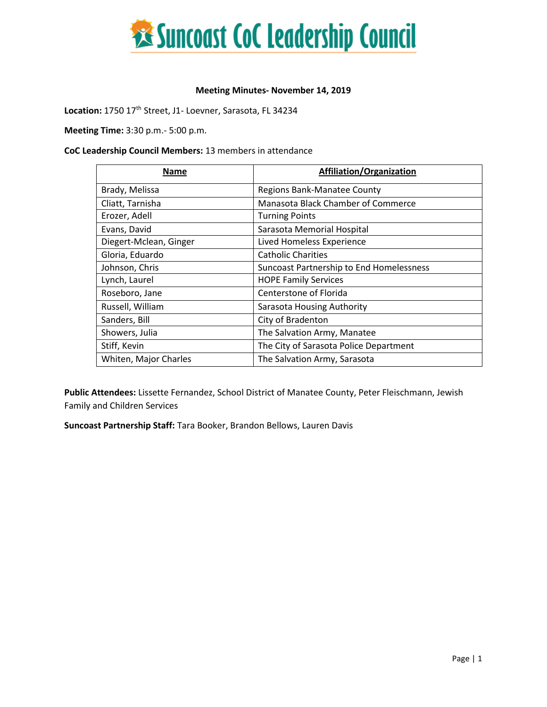

#### **Meeting Minutes- November 14, 2019**

Location: 1750 17<sup>th</sup> Street, J1- Loevner, Sarasota, FL 34234

**Meeting Time:** 3:30 p.m.- 5:00 p.m.

#### **CoC Leadership Council Members:** 13 members in attendance

| <b>Name</b>            | <b>Affiliation/Organization</b>                 |
|------------------------|-------------------------------------------------|
| Brady, Melissa         | <b>Regions Bank-Manatee County</b>              |
| Cliatt, Tarnisha       | Manasota Black Chamber of Commerce              |
| Erozer, Adell          | <b>Turning Points</b>                           |
| Evans, David           | Sarasota Memorial Hospital                      |
| Diegert-Mclean, Ginger | Lived Homeless Experience                       |
| Gloria, Eduardo        | <b>Catholic Charities</b>                       |
| Johnson, Chris         | <b>Suncoast Partnership to End Homelessness</b> |
| Lynch, Laurel          | <b>HOPE Family Services</b>                     |
| Roseboro, Jane         | Centerstone of Florida                          |
| Russell, William       | Sarasota Housing Authority                      |
| Sanders, Bill          | City of Bradenton                               |
| Showers, Julia         | The Salvation Army, Manatee                     |
| Stiff, Kevin           | The City of Sarasota Police Department          |
| Whiten, Major Charles  | The Salvation Army, Sarasota                    |

**Public Attendees:** Lissette Fernandez, School District of Manatee County, Peter Fleischmann, Jewish Family and Children Services

**Suncoast Partnership Staff:** Tara Booker, Brandon Bellows, Lauren Davis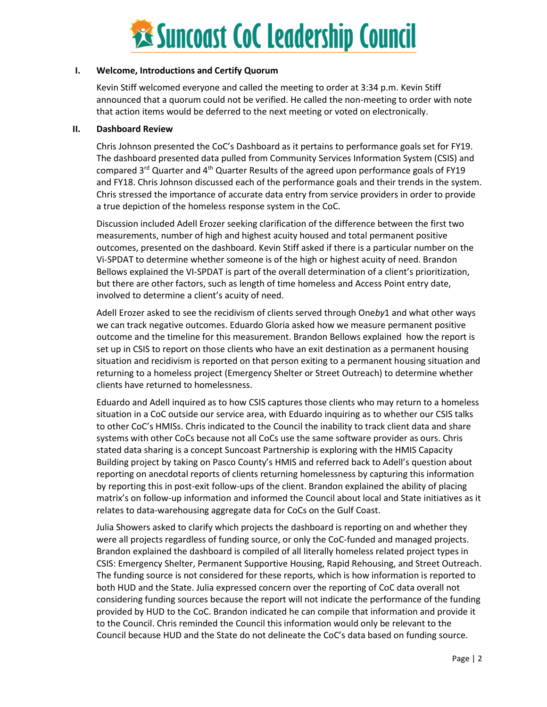

#### **I. Welcome, Introductions and Certify Quorum**

Kevin Stiff welcomed everyone and called the meeting to order at 3:34 p.m. Kevin Stiff announced that a quorum could not be verified. He called the non-meeting to order with note that action items would be deferred to the next meeting or voted on electronically.

#### **II. Dashboard Review**

Chris Johnson presented the CoC's Dashboard as it pertains to performance goals set for FY19. The dashboard presented data pulled from Community Services Information System (CSIS) and compared 3<sup>rd</sup> Quarter and 4<sup>th</sup> Quarter Results of the agreed upon performance goals of FY19 and FY18. Chris Johnson discussed each of the performance goals and their trends in the system. Chris stressed the importance of accurate data entry from service providers in order to provide a true depiction of the homeless response system in the CoC.

Discussion included Adell Erozer seeking clarification of the difference between the first two measurements, number of high and highest acuity housed and total permanent positive outcomes, presented on the dashboard. Kevin Stiff asked if there is a particular number on the Vi-SPDAT to determine whether someone is of the high or highest acuity of need. Brandon Bellows explained the VI-SPDAT is part of the overall determination of a client's prioritization, but there are other factors, such as length of time homeless and Access Point entry date, involved to determine a client's acuity of need.

Adell Erozer asked to see the recidivism of clients served through One*by*1 and what other ways we can track negative outcomes. Eduardo Gloria asked how we measure permanent positive outcome and the timeline for this measurement. Brandon Bellows explained how the report is set up in CSIS to report on those clients who have an exit destination as a permanent housing situation and recidivism is reported on that person exiting to a permanent housing situation and returning to a homeless project (Emergency Shelter or Street Outreach) to determine whether clients have returned to homelessness.

Eduardo and Adell inquired as to how CSIS captures those clients who may return to a homeless situation in a CoC outside our service area, with Eduardo inquiring as to whether our CSIS talks to other CoC's HMISs. Chris indicated to the Council the inability to track client data and share systems with other CoCs because not all CoCs use the same software provider as ours. Chris stated data sharing is a concept Suncoast Partnership is exploring with the HMIS Capacity Building project by taking on Pasco County's HMIS and referred back to Adell's question about reporting on anecdotal reports of clients returning homelessness by capturing this information by reporting this in post-exit follow-ups of the client. Brandon explained the ability of placing matrix's on follow-up information and informed the Council about local and State initiatives as it relates to data-warehousing aggregate data for CoCs on the Gulf Coast.

Julia Showers asked to clarify which projects the dashboard is reporting on and whether they were all projects regardless of funding source, or only the CoC-funded and managed projects. Brandon explained the dashboard is compiled of all literally homeless related project types in CSIS: Emergency Shelter, Permanent Supportive Housing, Rapid Rehousing, and Street Outreach. The funding source is not considered for these reports, which is how information is reported to both HUD and the State. Julia expressed concern over the reporting of CoC data overall not considering funding sources because the report will not indicate the performance of the funding provided by HUD to the CoC. Brandon indicated he can compile that information and provide it to the Council. Chris reminded the Council this information would only be relevant to the Council because HUD and the State do not delineate the CoC's data based on funding source.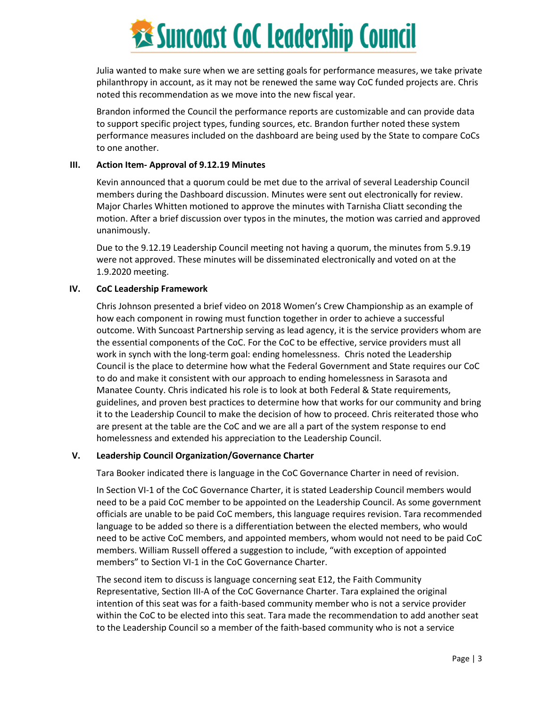# **Examples 18 Suncoast CoC Leadership Council**

Julia wanted to make sure when we are setting goals for performance measures, we take private philanthropy in account, as it may not be renewed the same way CoC funded projects are. Chris noted this recommendation as we move into the new fiscal year.

Brandon informed the Council the performance reports are customizable and can provide data to support specific project types, funding sources, etc. Brandon further noted these system performance measures included on the dashboard are being used by the State to compare CoCs to one another.

#### **III. Action Item- Approval of 9.12.19 Minutes**

Kevin announced that a quorum could be met due to the arrival of several Leadership Council members during the Dashboard discussion. Minutes were sent out electronically for review. Major Charles Whitten motioned to approve the minutes with Tarnisha Cliatt seconding the motion. After a brief discussion over typos in the minutes, the motion was carried and approved unanimously.

Due to the 9.12.19 Leadership Council meeting not having a quorum, the minutes from 5.9.19 were not approved. These minutes will be disseminated electronically and voted on at the 1.9.2020 meeting.

#### **IV. CoC Leadership Framework**

Chris Johnson presented a brief video on 2018 Women's Crew Championship as an example of how each component in rowing must function together in order to achieve a successful outcome. With Suncoast Partnership serving as lead agency, it is the service providers whom are the essential components of the CoC. For the CoC to be effective, service providers must all work in synch with the long-term goal: ending homelessness. Chris noted the Leadership Council is the place to determine how what the Federal Government and State requires our CoC to do and make it consistent with our approach to ending homelessness in Sarasota and Manatee County. Chris indicated his role is to look at both Federal & State requirements, guidelines, and proven best practices to determine how that works for our community and bring it to the Leadership Council to make the decision of how to proceed. Chris reiterated those who are present at the table are the CoC and we are all a part of the system response to end homelessness and extended his appreciation to the Leadership Council.

#### **V. Leadership Council Organization/Governance Charter**

Tara Booker indicated there is language in the CoC Governance Charter in need of revision.

In Section VI-1 of the CoC Governance Charter, it is stated Leadership Council members would need to be a paid CoC member to be appointed on the Leadership Council. As some government officials are unable to be paid CoC members, this language requires revision. Tara recommended language to be added so there is a differentiation between the elected members, who would need to be active CoC members, and appointed members, whom would not need to be paid CoC members. William Russell offered a suggestion to include, "with exception of appointed members" to Section VI-1 in the CoC Governance Charter.

The second item to discuss is language concerning seat E12, the Faith Community Representative, Section III-A of the CoC Governance Charter. Tara explained the original intention of this seat was for a faith-based community member who is not a service provider within the CoC to be elected into this seat. Tara made the recommendation to add another seat to the Leadership Council so a member of the faith-based community who is not a service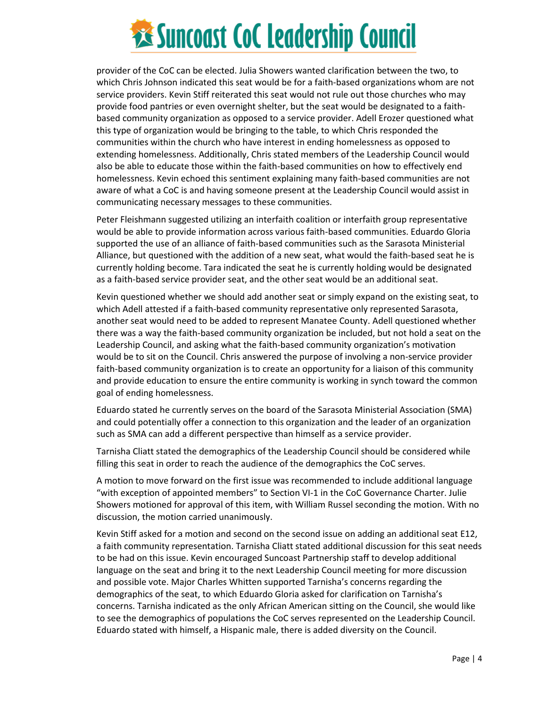# **Executions State Cock Leadership Council**

provider of the CoC can be elected. Julia Showers wanted clarification between the two, to which Chris Johnson indicated this seat would be for a faith-based organizations whom are not service providers. Kevin Stiff reiterated this seat would not rule out those churches who may provide food pantries or even overnight shelter, but the seat would be designated to a faithbased community organization as opposed to a service provider. Adell Erozer questioned what this type of organization would be bringing to the table, to which Chris responded the communities within the church who have interest in ending homelessness as opposed to extending homelessness. Additionally, Chris stated members of the Leadership Council would also be able to educate those within the faith-based communities on how to effectively end homelessness. Kevin echoed this sentiment explaining many faith-based communities are not aware of what a CoC is and having someone present at the Leadership Council would assist in communicating necessary messages to these communities.

Peter Fleishmann suggested utilizing an interfaith coalition or interfaith group representative would be able to provide information across various faith-based communities. Eduardo Gloria supported the use of an alliance of faith-based communities such as the Sarasota Ministerial Alliance, but questioned with the addition of a new seat, what would the faith-based seat he is currently holding become. Tara indicated the seat he is currently holding would be designated as a faith-based service provider seat, and the other seat would be an additional seat.

Kevin questioned whether we should add another seat or simply expand on the existing seat, to which Adell attested if a faith-based community representative only represented Sarasota, another seat would need to be added to represent Manatee County. Adell questioned whether there was a way the faith-based community organization be included, but not hold a seat on the Leadership Council, and asking what the faith-based community organization's motivation would be to sit on the Council. Chris answered the purpose of involving a non-service provider faith-based community organization is to create an opportunity for a liaison of this community and provide education to ensure the entire community is working in synch toward the common goal of ending homelessness.

Eduardo stated he currently serves on the board of the Sarasota Ministerial Association (SMA) and could potentially offer a connection to this organization and the leader of an organization such as SMA can add a different perspective than himself as a service provider.

Tarnisha Cliatt stated the demographics of the Leadership Council should be considered while filling this seat in order to reach the audience of the demographics the CoC serves.

A motion to move forward on the first issue was recommended to include additional language "with exception of appointed members" to Section VI-1 in the CoC Governance Charter. Julie Showers motioned for approval of this item, with William Russel seconding the motion. With no discussion, the motion carried unanimously.

Kevin Stiff asked for a motion and second on the second issue on adding an additional seat E12, a faith community representation. Tarnisha Cliatt stated additional discussion for this seat needs to be had on this issue. Kevin encouraged Suncoast Partnership staff to develop additional language on the seat and bring it to the next Leadership Council meeting for more discussion and possible vote. Major Charles Whitten supported Tarnisha's concerns regarding the demographics of the seat, to which Eduardo Gloria asked for clarification on Tarnisha's concerns. Tarnisha indicated as the only African American sitting on the Council, she would like to see the demographics of populations the CoC serves represented on the Leadership Council. Eduardo stated with himself, a Hispanic male, there is added diversity on the Council.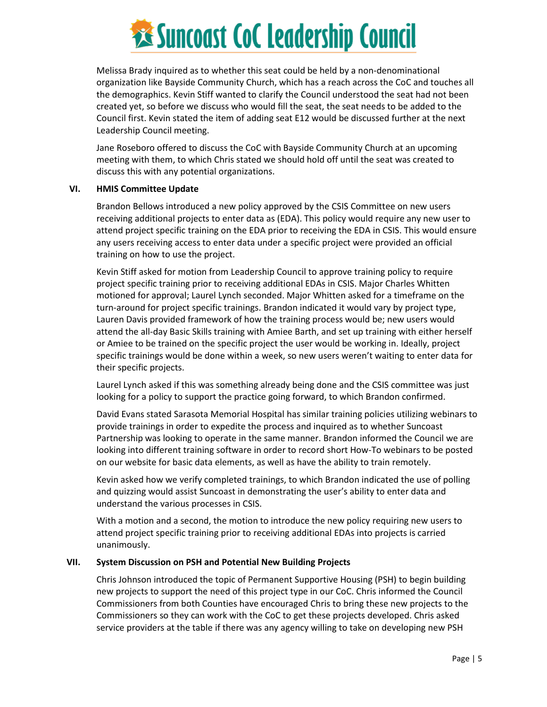# **Examples 18 Suncoast CoC Leadership Council**

Melissa Brady inquired as to whether this seat could be held by a non-denominational organization like Bayside Community Church, which has a reach across the CoC and touches all the demographics. Kevin Stiff wanted to clarify the Council understood the seat had not been created yet, so before we discuss who would fill the seat, the seat needs to be added to the Council first. Kevin stated the item of adding seat E12 would be discussed further at the next Leadership Council meeting.

Jane Roseboro offered to discuss the CoC with Bayside Community Church at an upcoming meeting with them, to which Chris stated we should hold off until the seat was created to discuss this with any potential organizations.

#### **VI. HMIS Committee Update**

Brandon Bellows introduced a new policy approved by the CSIS Committee on new users receiving additional projects to enter data as (EDA). This policy would require any new user to attend project specific training on the EDA prior to receiving the EDA in CSIS. This would ensure any users receiving access to enter data under a specific project were provided an official training on how to use the project.

Kevin Stiff asked for motion from Leadership Council to approve training policy to require project specific training prior to receiving additional EDAs in CSIS. Major Charles Whitten motioned for approval; Laurel Lynch seconded. Major Whitten asked for a timeframe on the turn-around for project specific trainings. Brandon indicated it would vary by project type, Lauren Davis provided framework of how the training process would be; new users would attend the all-day Basic Skills training with Amiee Barth, and set up training with either herself or Amiee to be trained on the specific project the user would be working in. Ideally, project specific trainings would be done within a week, so new users weren't waiting to enter data for their specific projects.

Laurel Lynch asked if this was something already being done and the CSIS committee was just looking for a policy to support the practice going forward, to which Brandon confirmed.

David Evans stated Sarasota Memorial Hospital has similar training policies utilizing webinars to provide trainings in order to expedite the process and inquired as to whether Suncoast Partnership was looking to operate in the same manner. Brandon informed the Council we are looking into different training software in order to record short How-To webinars to be posted on our website for basic data elements, as well as have the ability to train remotely.

Kevin asked how we verify completed trainings, to which Brandon indicated the use of polling and quizzing would assist Suncoast in demonstrating the user's ability to enter data and understand the various processes in CSIS.

With a motion and a second, the motion to introduce the new policy requiring new users to attend project specific training prior to receiving additional EDAs into projects is carried unanimously.

#### **VII. System Discussion on PSH and Potential New Building Projects**

Chris Johnson introduced the topic of Permanent Supportive Housing (PSH) to begin building new projects to support the need of this project type in our CoC. Chris informed the Council Commissioners from both Counties have encouraged Chris to bring these new projects to the Commissioners so they can work with the CoC to get these projects developed. Chris asked service providers at the table if there was any agency willing to take on developing new PSH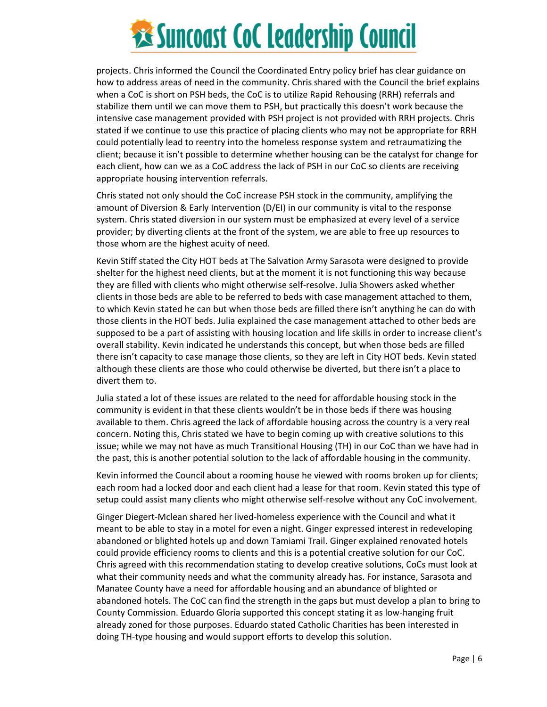## **Executions State Cock Leadership Council**

projects. Chris informed the Council the Coordinated Entry policy brief has clear guidance on how to address areas of need in the community. Chris shared with the Council the brief explains when a CoC is short on PSH beds, the CoC is to utilize Rapid Rehousing (RRH) referrals and stabilize them until we can move them to PSH, but practically this doesn't work because the intensive case management provided with PSH project is not provided with RRH projects. Chris stated if we continue to use this practice of placing clients who may not be appropriate for RRH could potentially lead to reentry into the homeless response system and retraumatizing the client; because it isn't possible to determine whether housing can be the catalyst for change for each client, how can we as a CoC address the lack of PSH in our CoC so clients are receiving appropriate housing intervention referrals.

Chris stated not only should the CoC increase PSH stock in the community, amplifying the amount of Diversion & Early Intervention (D/EI) in our community is vital to the response system. Chris stated diversion in our system must be emphasized at every level of a service provider; by diverting clients at the front of the system, we are able to free up resources to those whom are the highest acuity of need.

Kevin Stiff stated the City HOT beds at The Salvation Army Sarasota were designed to provide shelter for the highest need clients, but at the moment it is not functioning this way because they are filled with clients who might otherwise self-resolve. Julia Showers asked whether clients in those beds are able to be referred to beds with case management attached to them, to which Kevin stated he can but when those beds are filled there isn't anything he can do with those clients in the HOT beds. Julia explained the case management attached to other beds are supposed to be a part of assisting with housing location and life skills in order to increase client's overall stability. Kevin indicated he understands this concept, but when those beds are filled there isn't capacity to case manage those clients, so they are left in City HOT beds. Kevin stated although these clients are those who could otherwise be diverted, but there isn't a place to divert them to.

Julia stated a lot of these issues are related to the need for affordable housing stock in the community is evident in that these clients wouldn't be in those beds if there was housing available to them. Chris agreed the lack of affordable housing across the country is a very real concern. Noting this, Chris stated we have to begin coming up with creative solutions to this issue; while we may not have as much Transitional Housing (TH) in our CoC than we have had in the past, this is another potential solution to the lack of affordable housing in the community.

Kevin informed the Council about a rooming house he viewed with rooms broken up for clients; each room had a locked door and each client had a lease for that room. Kevin stated this type of setup could assist many clients who might otherwise self-resolve without any CoC involvement.

Ginger Diegert-Mclean shared her lived-homeless experience with the Council and what it meant to be able to stay in a motel for even a night. Ginger expressed interest in redeveloping abandoned or blighted hotels up and down Tamiami Trail. Ginger explained renovated hotels could provide efficiency rooms to clients and this is a potential creative solution for our CoC. Chris agreed with this recommendation stating to develop creative solutions, CoCs must look at what their community needs and what the community already has. For instance, Sarasota and Manatee County have a need for affordable housing and an abundance of blighted or abandoned hotels. The CoC can find the strength in the gaps but must develop a plan to bring to County Commission. Eduardo Gloria supported this concept stating it as low-hanging fruit already zoned for those purposes. Eduardo stated Catholic Charities has been interested in doing TH-type housing and would support efforts to develop this solution.